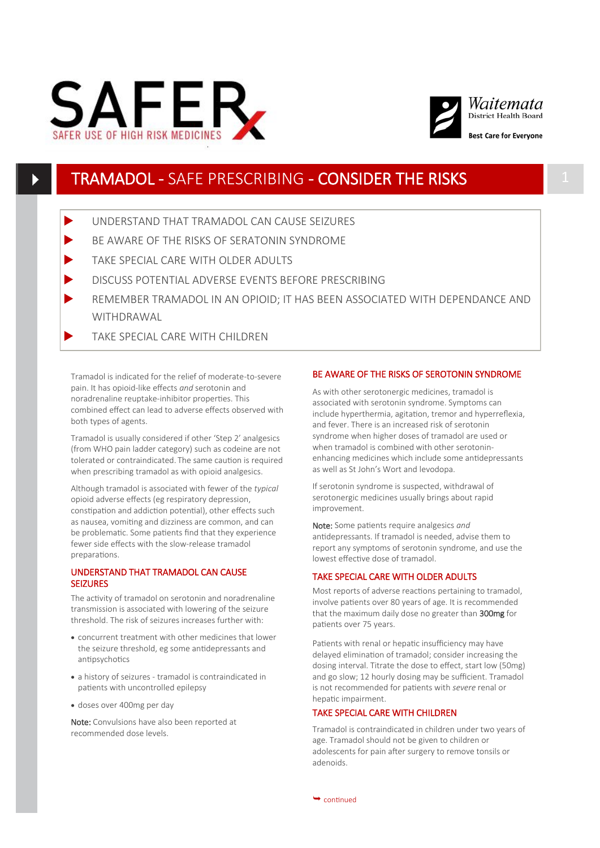



# TRAMADOL - SAFE PRESCRIBING - CONSIDER THE RISKS 1

- UNDERSTAND THAT TRAMADOL CAN CAUSE SEIZURES
- BE AWARE OF THE RISKS OF SERATONIN SYNDROME
- TAKE SPECIAL CARE WITH OLDER ADULTS
- DISCUSS POTENTIAL ADVERSE EVENTS BEFORE PRESCRIBING
- REMEMBER TRAMADOL IN AN OPIOID; IT HAS BEEN ASSOCIATED WITH DEPENDANCE AND **WITHDRAWAL**
- TAKE SPECIAL CARE WITH CHILDREN

Tramadol is indicated for the relief of moderate-to-severe pain. It has opioid-like effects *and* serotonin and noradrenaline reuptake-inhibitor properties. This combined effect can lead to adverse effects observed with both types of agents.

Tramadol is usually considered if other 'Step 2' analgesics (from WHO pain ladder category) such as codeine are not tolerated or contraindicated. The same caution is required when prescribing tramadol as with opioid analgesics.

Although tramadol is associated with fewer of the *typical* opioid adverse effects (eg respiratory depression, constipation and addiction potential), other effects such as nausea, vomiting and dizziness are common, and can be problematic. Some patients find that they experience fewer side effects with the slow-release tramadol preparations.

## UNDERSTAND THAT TRAMADOL CAN CAUSE SEIZURES

The activity of tramadol on serotonin and noradrenaline transmission is associated with lowering of the seizure threshold. The risk of seizures increases further with:

- concurrent treatment with other medicines that lower the seizure threshold, eg some antidepressants and antipsychotics
- a history of seizures tramadol is contraindicated in patients with uncontrolled epilepsy
- doses over 400mg per day

Note: Convulsions have also been reported at recommended dose levels.

## BE AWARE OF THE RISKS OF SEROTONIN SYNDROME

As with other serotonergic medicines, tramadol is associated with serotonin syndrome. Symptoms can include hyperthermia, agitation, tremor and hyperreflexia, and fever. There is an increased risk of serotonin syndrome when higher doses of tramadol are used or when tramadol is combined with other serotoninenhancing medicines which include some antidepressants as well as St John's Wort and levodopa.

If serotonin syndrome is suspected, withdrawal of serotonergic medicines usually brings about rapid improvement.

Note: Some patients require analgesics *and* antidepressants. If tramadol is needed, advise them to report any symptoms of serotonin syndrome, and use the lowest effective dose of tramadol.

#### TAKE SPECIAL CARE WITH OLDER ADULTS

Most reports of adverse reactions pertaining to tramadol, involve patients over 80 years of age. It is recommended that the maximum daily dose no greater than 300mg for patients over 75 years.

Patients with renal or hepatic insufficiency may have delayed elimination of tramadol; consider increasing the dosing interval. Titrate the dose to effect, start low (50mg) and go slow; 12 hourly dosing may be sufficient. Tramadol is not recommended for patients with *severe* renal or hepatic impairment.

# TAKE SPECIAL CARE WITH CHILDREN

Tramadol is contraindicated in children under two years of age. Tramadol should not be given to children or adolescents for pain after surgery to remove tonsils or adenoids.

 $\rightarrow$  continued